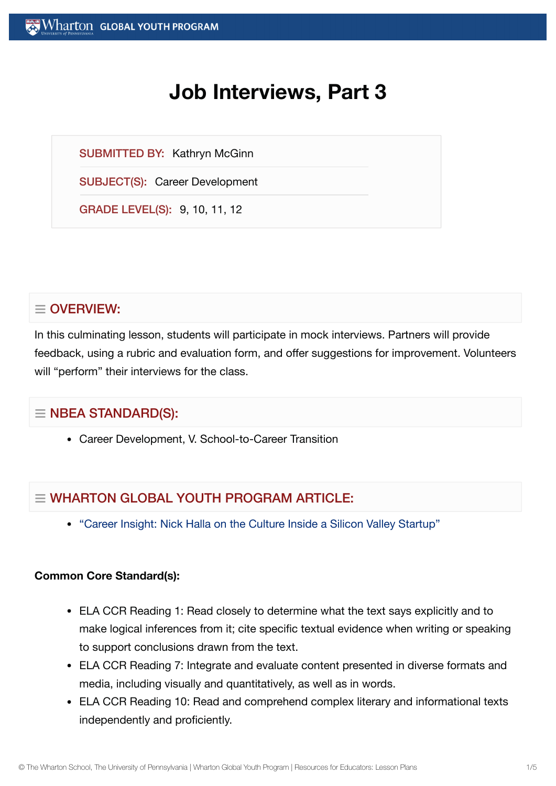# **Job Interviews, Part 3**

SUBMITTED BY: Kathryn McGinn

SUBJECT(S): Career Development

GRADE LEVEL(S): 9, 10, 11, 12

# $\equiv$  OVERVIEW:

In this culminating lesson, students will participate in mock interviews. Partners will provide feedback, using a rubric and evaluation form, and offer suggestions for improvement. Volunteers will "perform" their interviews for the class.

# $\equiv$  NBEA STANDARD(S):

Career Development, V. School-to-Career Transition

# $\equiv$  WHARTON GLOBAL YOUTH PROGRAM ARTICLE:

"Career Insight: Nick Halla on the Culture Inside a Silicon [Valley Startup"](https://globalyouth.wharton.upenn.edu/articles/career-insight-nick-halla-culture-hiring-inside-silicon-valley-startup/)

# **Common Core Standard(s):**

- ELA CCR Reading 1: Read closely to determine what the text says explicitly and to make logical inferences from it; cite specific textual evidence when writing or speaking to support conclusions drawn from the text.
- ELA CCR Reading 7: Integrate and evaluate content presented in diverse formats and media, including visually and quantitatively, as well as in words.
- ELA CCR Reading 10: Read and comprehend complex literary and informational texts independently and proficiently.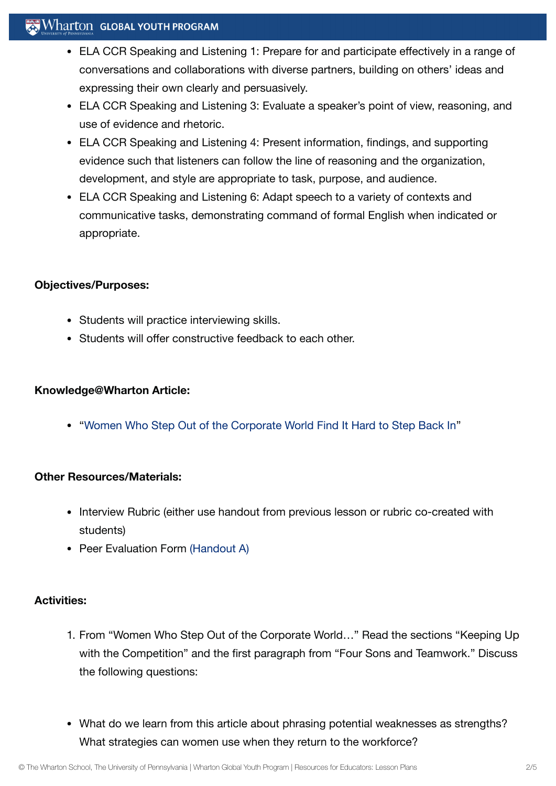# $\mathbb{R}$  Wharton global youth program

- ELA CCR Speaking and Listening 1: Prepare for and participate effectively in a range of conversations and collaborations with diverse partners, building on others' ideas and expressing their own clearly and persuasively.
- ELA CCR Speaking and Listening 3: Evaluate a speaker's point of view, reasoning, and use of evidence and rhetoric.
- ELA CCR Speaking and Listening 4: Present information, findings, and supporting evidence such that listeners can follow the line of reasoning and the organization, development, and style are appropriate to task, purpose, and audience.
- ELA CCR Speaking and Listening 6: Adapt speech to a variety of contexts and communicative tasks, demonstrating command of formal English when indicated or appropriate.

#### **Objectives/Purposes:**

- Students will practice interviewing skills.
- Students will offer constructive feedback to each other.

#### **Knowledge@Wharton Article:**

"Women Who Step Out of the [Corporate](http://knowledge.wharton.upenn.edu/article.cfm?articleid=1257) World Find It Hard to Step Back In"

# **Other Resources/Materials:**

- Interview Rubric (either use handout from previous lesson or rubric co-created with students)
- Peer Evaluation Form [\(Handout](https://globalyouth.wharton.upenn.edu/wp-content/uploads/2012/02/Career-Development-9_HandoutA.pdf) A)

#### **Activities:**

- 1. From "Women Who Step Out of the Corporate World…" Read the sections "Keeping Up with the Competition" and the first paragraph from "Four Sons and Teamwork." Discuss the following questions:
- What do we learn from this article about phrasing potential weaknesses as strengths? What strategies can women use when they return to the workforce?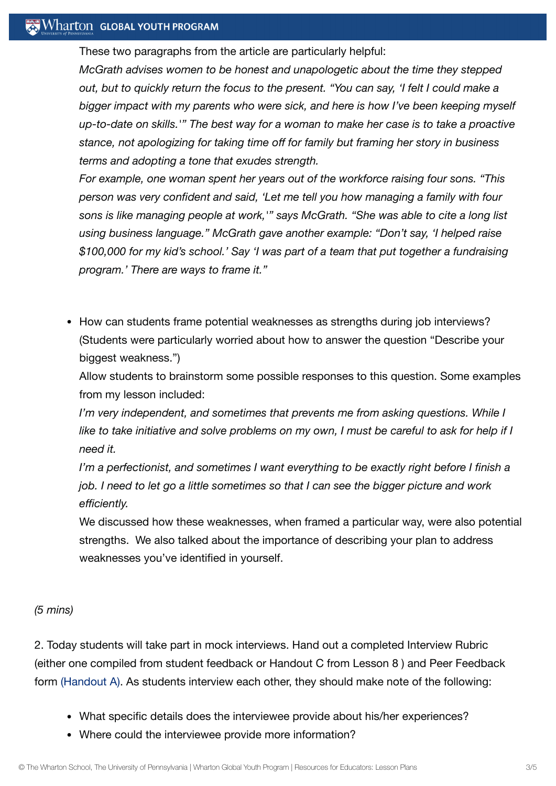# **Wharton GLOBAL YOUTH PROGRAM**

These two paragraphs from the article are particularly helpful:

*McGrath advises women to be honest and unapologetic about the time they stepped out, but to quickly return the focus to the present. "You can say, 'I felt I could make a bigger impact with my parents who were sick, and here is how I've been keeping myself up-to-date on skills.'" The best way for a woman to make her case is to take a proactive stance, not apologizing for taking time off for family but framing her story in business terms and adopting a tone that exudes strength.*

*For example, one woman spent her years out of the workforce raising four sons. "This person was very confident and said, 'Let me tell you how managing a family with four sons is like managing people at work,'" says McGrath. "She was able to cite a long list using business language." McGrath gave another example: "Don't say, 'I helped raise \$100,000 for my kid's school.' Say 'I was part of a team that put together a fundraising program.' There are ways to frame it."*

• How can students frame potential weaknesses as strengths during job interviews? (Students were particularly worried about how to answer the question "Describe your biggest weakness.")

Allow students to brainstorm some possible responses to this question. Some examples from my lesson included:

*I'm very independent, and sometimes that prevents me from asking questions. While I* like to take initiative and solve problems on my own, I must be careful to ask for help if I *need it.*

*I'm a perfectionist, and sometimes I want everything to be exactly right before I finish a job. I need to let go a little sometimes so that I can see the bigger picture and work efficiently.*

We discussed how these weaknesses, when framed a particular way, were also potential strengths. We also talked about the importance of describing your plan to address weaknesses you've identified in yourself.

#### *(5 mins)*

2. Today students will take part in mock interviews. Hand out a completed Interview Rubric (either one compiled from student feedback or Handout C from Lesson 8 ) and Peer Feedback form [\(Handout](https://globalyouth.wharton.upenn.edu/wp-content/uploads/2012/02/Career-Development-9_HandoutA.pdf) A). As students interview each other, they should make note of the following:

- What specific details does the interviewee provide about his/her experiences?
- Where could the interviewee provide more information?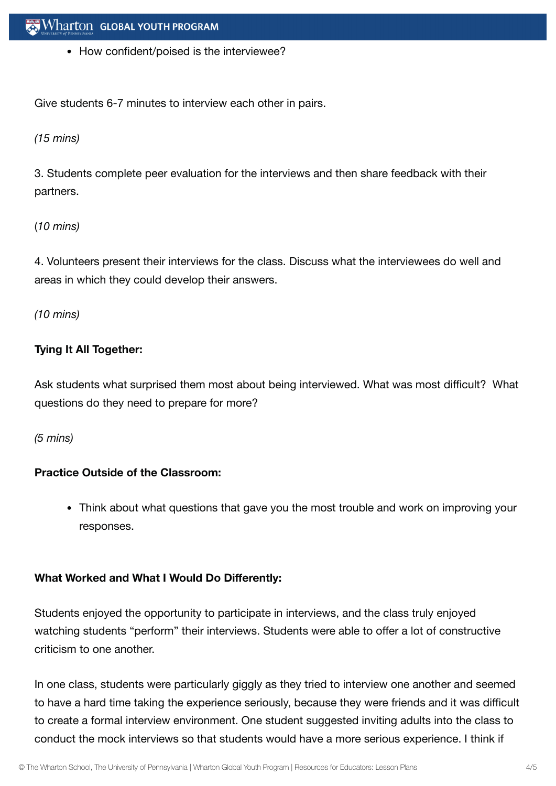• How confident/poised is the interviewee?

Give students 6-7 minutes to interview each other in pairs.

### *(15 mins)*

3. Students complete peer evaluation for the interviews and then share feedback with their partners.

# (*10 mins)*

4. Volunteers present their interviews for the class. Discuss what the interviewees do well and areas in which they could develop their answers.

*(10 mins)*

# **Tying It All Together:**

Ask students what surprised them most about being interviewed. What was most difficult? What questions do they need to prepare for more?

*(5 mins)*

# **Practice Outside of the Classroom:**

Think about what questions that gave you the most trouble and work on improving your responses.

# **What Worked and What I Would Do Differently:**

Students enjoyed the opportunity to participate in interviews, and the class truly enjoyed watching students "perform" their interviews. Students were able to offer a lot of constructive criticism to one another.

In one class, students were particularly giggly as they tried to interview one another and seemed to have a hard time taking the experience seriously, because they were friends and it was difficult to create a formal interview environment. One student suggested inviting adults into the class to conduct the mock interviews so that students would have a more serious experience. I think if